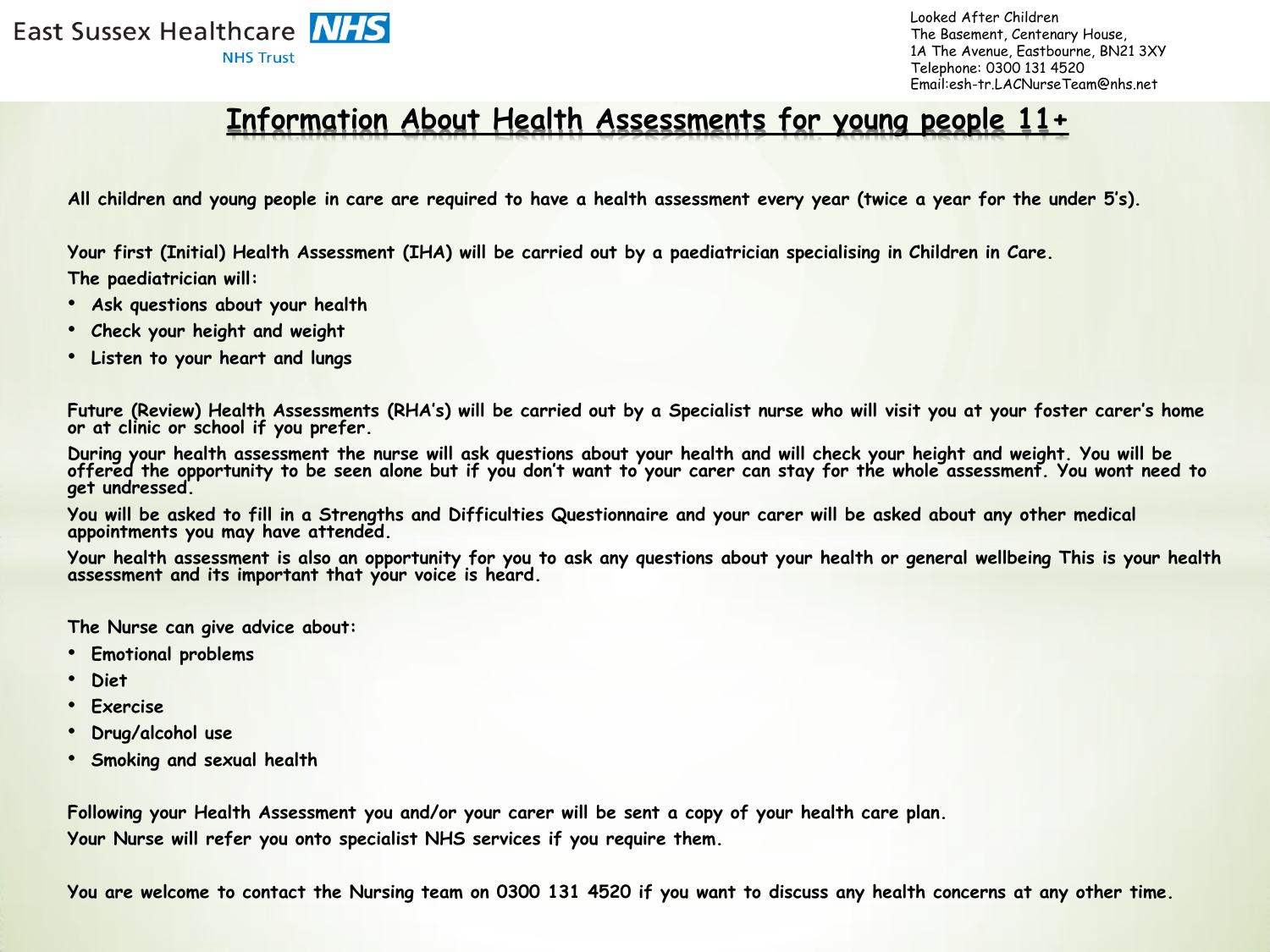East Sussex Healthcare **NHS NHS Trust** 

Looked After Children The Basement, Centenary House, 1A The Avenue, Eastbourne, BN21 3XY Telephone: 0300 131 4520 Email:esh-tr.LACNurseTeam@nhs.net

## **Information About Health Assessments for young people 11+**

**All children and young people in care are required to have a health assessment every year (twice a year for the under 5's).**

**Your first (Initial) Health Assessment (IHA) will be carried out by a paediatrician specialising in Children in Care. The paediatrician will:**

- **Ask questions about your health**
- **Check your height and weight**
- **Listen to your heart and lungs**

**Future (Review) Health Assessments (RHA's) will be carried out by a Specialist nurse who will visit you at your foster carer's home or at clinic or school if you prefer.** 

**During your health assessment the nurse will ask questions about your health and will check your height and weight. You will be offered the opportunity to be seen alone but if you don't want to your carer can stay for the whole assessment. You wont need to get undressed.** 

**You will be asked to fill in a Strengths and Difficulties Questionnaire and your carer will be asked about any other medical appointments you may have attended.** 

**Your health assessment is also an opportunity for you to ask any questions about your health or general wellbeing This is your health assessment and its important that your voice is heard.** 

**The Nurse can give advice about:**

- **Emotional problems**
- **Diet**
- **Exercise**
- **Drug/alcohol use**
- **Smoking and sexual health**

**Following your Health Assessment you and/or your carer will be sent a copy of your health care plan. Your Nurse will refer you onto specialist NHS services if you require them.** 

**You are welcome to contact the Nursing team on 0300 131 4520 if you want to discuss any health concerns at any other time.**